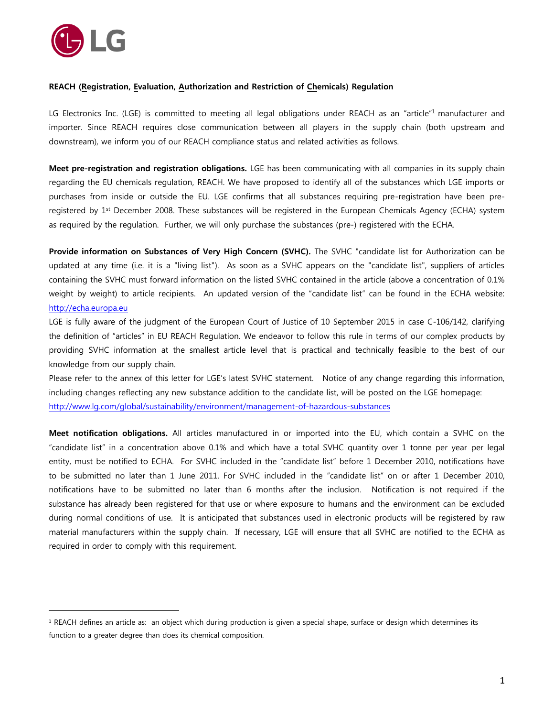

 $\overline{a}$ 

## **REACH (Registration, Evaluation, Authorization and Restriction of Chemicals) Regulation**

LG Electronics Inc. (LGE) is committed to meeting all legal obligations under REACH as an "article"<sup>1</sup> manufacturer and importer. Since REACH requires close communication between all players in the supply chain (both upstream and downstream), we inform you of our REACH compliance status and related activities as follows.

**Meet pre-registration and registration obligations.** LGE has been communicating with all companies in its supply chain regarding the EU chemicals regulation, REACH. We have proposed to identify all of the substances which LGE imports or purchases from inside or outside the EU. LGE confirms that all substances requiring pre-registration have been preregistered by 1<sup>st</sup> December 2008. These substances will be registered in the European Chemicals Agency (ECHA) system as required by the regulation. Further, we will only purchase the substances (pre-) registered with the ECHA.

**Provide information on Substances of Very High Concern (SVHC).** The SVHC "candidate list for Authorization can be updated at any time (i.e. it is a "living list"). As soon as a SVHC appears on the "candidate list", suppliers of articles containing the SVHC must forward information on the listed SVHC contained in the article (above a concentration of 0.1% weight by weight) to article recipients. An updated version of the "candidate list" can be found in the ECHA website: [http://echa.europa.eu](http://echa.europa.eu/chem_data/authorisation_process/candidate_list_table_en.asp)

LGE is fully aware of the judgment of the European Court of Justice of 10 September 2015 in case C-106/142, clarifying the definition of "articles" in EU REACH Regulation. We endeavor to follow this rule in terms of our complex products by providing SVHC information at the smallest article level that is practical and technically feasible to the best of our knowledge from our supply chain.

Please refer to the annex of this letter for LGE's latest SVHC statement. Notice of any change regarding this information, including changes reflecting any new substance addition to the candidate list, will be posted on the LGE homepage: <http://www.lg.com/global/sustainability/environment/management-of-hazardous-substances>

**Meet notification obligations.** All articles manufactured in or imported into the EU, which contain a SVHC on the "candidate list" in a concentration above 0.1% and which have a total SVHC quantity over 1 tonne per year per legal entity, must be notified to ECHA. For SVHC included in the "candidate list" before 1 December 2010, notifications have to be submitted no later than 1 June 2011. For SVHC included in the "candidate list" on or after 1 December 2010, notifications have to be submitted no later than 6 months after the inclusion. Notification is not required if the substance has already been registered for that use or where exposure to humans and the environment can be excluded during normal conditions of use. It is anticipated that substances used in electronic products will be registered by raw material manufacturers within the supply chain. If necessary, LGE will ensure that all SVHC are notified to the ECHA as required in order to comply with this requirement.

<sup>&</sup>lt;sup>1</sup> REACH defines an article as: an object which during production is given a special shape, surface or design which determines its function to a greater degree than does its chemical composition.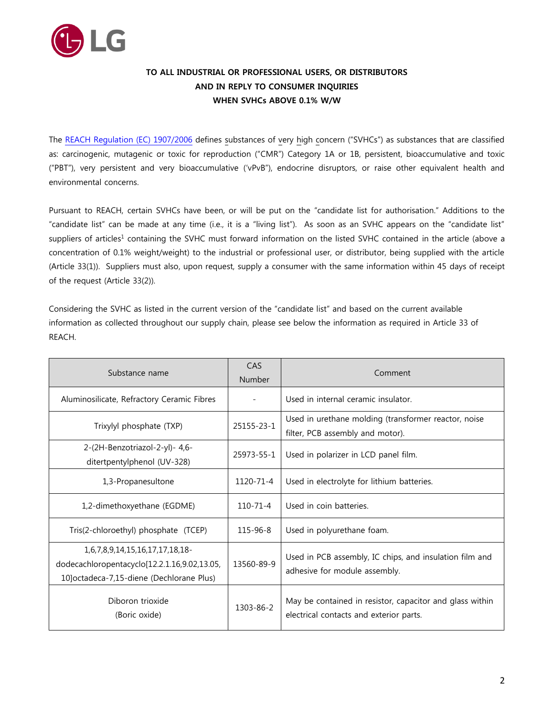

## **TO ALL INDUSTRIAL OR PROFESSIONAL USERS, OR DISTRIBUTORS AND IN REPLY TO CONSUMER INQUIRIES WHEN SVHCs ABOVE 0.1% W/W**

The [REACH Regulation](http://eur-lex.europa.eu/LexUriServ/LexUriServ.do?uri=CONSLEG:2006R1907:20130306:EN:PDF) (EC) 1907/2006 defines substances of very high concern ("SVHCs") as substances that are classified as: carcinogenic, mutagenic or toxic for reproduction ("CMR") Category 1A or 1B, persistent, bioaccumulative and toxic ("PBT"), very persistent and very bioaccumulative ('vPvB"), endocrine disruptors, or raise other equivalent health and environmental concerns.

Pursuant to REACH, certain SVHCs have been, or will be put on the "candidate list for authorisation." Additions to the "candidate list" can be made at any time (i.e., it is a "living list"). As soon as an SVHC appears on the "candidate list" suppliers of articles<sup>1</sup> containing the SVHC must forward information on the listed SVHC contained in the article (above a concentration of 0.1% weight/weight) to the industrial or professional user, or distributor, being supplied with the article (Article 33(1)). Suppliers must also, upon request, supply a consumer with the same information within 45 days of receipt of the request (Article 33(2)).

Considering the SVHC as listed in the current version of the "candidate list" and based on the current available information as collected throughout our supply chain, please see below the information as required in Article 33 of REACH.

| Substance name                                                                                                               | CAS<br>Number  | Comment                                                                                             |
|------------------------------------------------------------------------------------------------------------------------------|----------------|-----------------------------------------------------------------------------------------------------|
| Aluminosilicate, Refractory Ceramic Fibres                                                                                   |                | Used in internal ceramic insulator.                                                                 |
| Trixylyl phosphate (TXP)                                                                                                     | 25155-23-1     | Used in urethane molding (transformer reactor, noise<br>filter, PCB assembly and motor).            |
| 2-(2H-Benzotriazol-2-yl)- 4,6-<br>ditertpentylphenol (UV-328)                                                                | 25973-55-1     | Used in polarizer in LCD panel film.                                                                |
| 1,3-Propanesultone                                                                                                           | 1120-71-4      | Used in electrolyte for lithium batteries.                                                          |
| 1,2-dimethoxyethane (EGDME)                                                                                                  | $110 - 71 - 4$ | Used in coin batteries.                                                                             |
| Tris(2-chloroethyl) phosphate (TCEP)                                                                                         | 115-96-8       | Used in polyurethane foam.                                                                          |
| 1,6,7,8,9,14,15,16,17,17,18,18-<br>dodecachloropentacyclo[12.2.1.16,9.02,13.05,<br>10] octadeca-7,15-diene (Dechlorane Plus) | 13560-89-9     | Used in PCB assembly, IC chips, and insulation film and<br>adhesive for module assembly.            |
| Diboron trioxide<br>(Boric oxide)                                                                                            | 1303-86-2      | May be contained in resistor, capacitor and glass within<br>electrical contacts and exterior parts. |